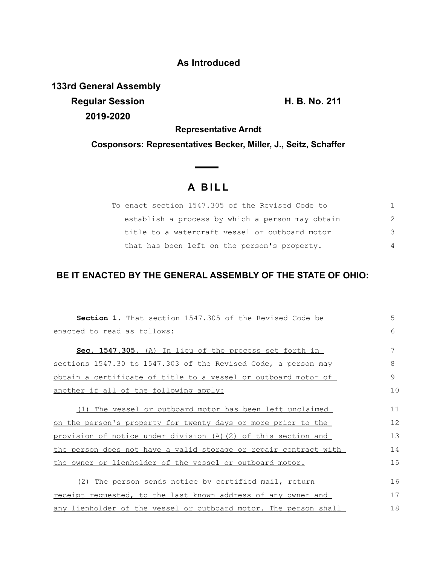## **As Introduced**

**133rd General Assembly Regular Session H. B. No. 211 2019-2020**

**Representative Arndt**

**Cosponsors: Representatives Becker, Miller, J., Seitz, Schaffer**

## **A B I L L**

| To enact section 1547.305 of the Revised Code to |                |
|--------------------------------------------------|----------------|
| establish a process by which a person may obtain | 2              |
| title to a watercraft vessel or outboard motor   | 3              |
| that has been left on the person's property.     | $\overline{4}$ |

## **BE IT ENACTED BY THE GENERAL ASSEMBLY OF THE STATE OF OHIO:**

| <b>Section 1.</b> That section 1547.305 of the Revised Code be   | 5  |
|------------------------------------------------------------------|----|
| enacted to read as follows:                                      | 6  |
|                                                                  |    |
| Sec. 1547.305. (A) In lieu of the process set forth in           | 7  |
| sections 1547.30 to 1547.303 of the Revised Code, a person may   | 8  |
| obtain a certificate of title to a vessel or outboard motor of   | 9  |
| another if all of the following apply:                           | 10 |
|                                                                  |    |
| (1) The vessel or outboard motor has been left unclaimed         | 11 |
| on the person's property for twenty days or more prior to the    | 12 |
| provision of notice under division (A) (2) of this section and   | 13 |
| the person does not have a valid storage or repair contract with | 14 |
| the owner or lienholder of the vessel or outboard motor.         | 15 |
| (2) The person sends notice by certified mail, return            | 16 |
|                                                                  |    |
| receipt requested, to the last known address of any owner and    | 17 |
| any lienholder of the vessel or outboard motor. The person shall | 18 |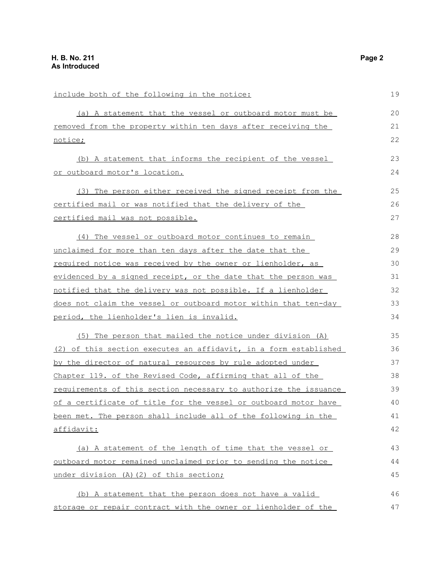| include both of the following in the notice:                         | 19 |
|----------------------------------------------------------------------|----|
| (a) A statement that the vessel or outboard motor must be            | 20 |
| <u>removed from the property within ten days after receiving the</u> | 21 |
| notice;                                                              | 22 |
| (b) A statement that informs the recipient of the vessel             | 23 |
| or outboard motor's location.                                        | 24 |
| (3) The person either received the signed receipt from the           | 25 |
| certified mail or was notified that the delivery of the              | 26 |
| certified mail was not possible.                                     | 27 |
| (4) The vessel or outboard motor continues to remain                 | 28 |
| unclaimed for more than ten days after the date that the             | 29 |
| required notice was received by the owner or lienholder, as          | 30 |
| evidenced by a signed receipt, or the date that the person was       | 31 |
| notified that the delivery was not possible. If a lienholder         | 32 |
| does not claim the vessel or outboard motor within that ten-day      | 33 |
| period, the lienholder's lien is invalid.                            | 34 |
| The person that mailed the notice under division (A)<br>(5)          | 35 |
| (2) of this section executes an affidavit, in a form established     | 36 |
| by the director of natural resources by rule adopted under           | 37 |
| Chapter 119. of the Revised Code, affirming that all of the          | 38 |
| requirements of this section necessary to authorize the issuance     | 39 |
| of a certificate of title for the vessel or outboard motor have      | 40 |
| been met. The person shall include all of the following in the       | 41 |
| affidavit:                                                           | 42 |
| (a) A statement of the length of time that the vessel or             | 43 |
| outboard motor remained unclaimed prior to sending the notice        | 44 |
| under division (A) (2) of this section;                              | 45 |
| (b) A statement that the person does not have a valid                | 46 |
| storage or repair contract with the owner or lienholder of the       | 47 |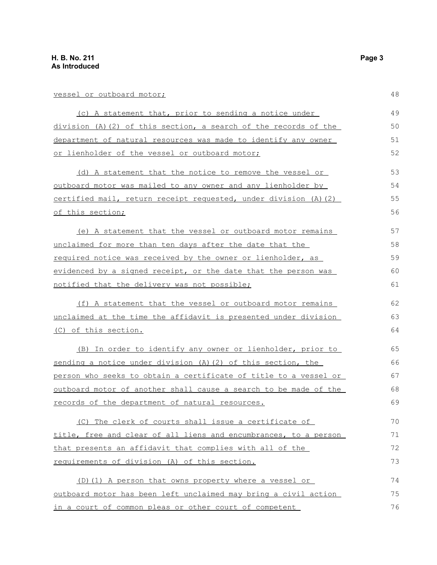| vessel or outboard motor;                                          | 48 |
|--------------------------------------------------------------------|----|
| (c) A statement that, prior to sending a notice under              | 49 |
| $division (A) (2) of this section, a search of the records of the$ | 50 |
| department of natural resources was made to identify any owner     | 51 |
| or lienholder of the vessel or outboard motor;                     | 52 |
| (d) A statement that the notice to remove the vessel or            | 53 |
| outboard motor was mailed to any owner and any lienholder by       | 54 |
| certified mail, return receipt requested, under division (A)(2)    | 55 |
| of this section;                                                   | 56 |
| (e) A statement that the vessel or outboard motor remains          | 57 |
| unclaimed for more than ten days after the date that the           | 58 |
| required notice was received by the owner or lienholder, as        | 59 |
| evidenced by a signed receipt, or the date that the person was     | 60 |
| notified that the delivery was not possible;                       | 61 |
| (f) A statement that the vessel or outboard motor remains          | 62 |
| unclaimed at the time the affidavit is presented under division    | 63 |
| <u>(C) of this section.</u>                                        | 64 |
| (B) In order to identify any owner or lienholder, prior to         | 65 |
| sending a notice under division (A) (2) of this section, the       | 66 |
| person who seeks to obtain a certificate of title to a vessel or   | 67 |
| outboard motor of another shall cause a search to be made of the   | 68 |
| records of the department of natural resources.                    | 69 |
| (C) The clerk of courts shall issue a certificate of               | 70 |
| title, free and clear of all liens and encumbrances, to a person   | 71 |
| that presents an affidavit that complies with all of the           | 72 |
| requirements of division (A) of this section.                      | 73 |
| (D) (1) A person that owns property where a vessel or              | 74 |
| outboard motor has been left unclaimed may bring a civil action    | 75 |
| in a court of common pleas or other court of competent             | 76 |